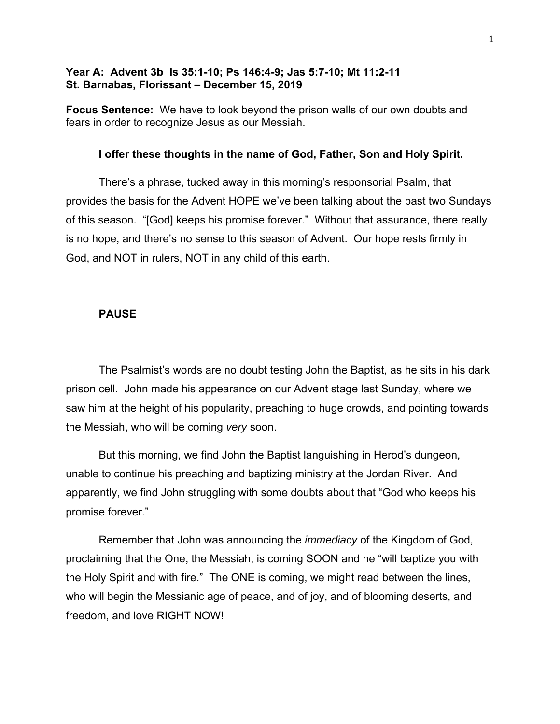# **Year A: Advent 3b Is 35:1-10; Ps 146:4-9; Jas 5:7-10; Mt 11:2-11 St. Barnabas, Florissant – December 15, 2019**

**Focus Sentence:** We have to look beyond the prison walls of our own doubts and fears in order to recognize Jesus as our Messiah.

### **I offer these thoughts in the name of God, Father, Son and Holy Spirit.**

There's a phrase, tucked away in this morning's responsorial Psalm, that provides the basis for the Advent HOPE we've been talking about the past two Sundays of this season. "[God] keeps his promise forever." Without that assurance, there really is no hope, and there's no sense to this season of Advent. Our hope rests firmly in God, and NOT in rulers, NOT in any child of this earth.

### **PAUSE**

The Psalmist's words are no doubt testing John the Baptist, as he sits in his dark prison cell. John made his appearance on our Advent stage last Sunday, where we saw him at the height of his popularity, preaching to huge crowds, and pointing towards the Messiah, who will be coming *very* soon.

But this morning, we find John the Baptist languishing in Herod's dungeon, unable to continue his preaching and baptizing ministry at the Jordan River. And apparently, we find John struggling with some doubts about that "God who keeps his promise forever."

Remember that John was announcing the *immediacy* of the Kingdom of God, proclaiming that the One, the Messiah, is coming SOON and he "will baptize you with the Holy Spirit and with fire." The ONE is coming, we might read between the lines, who will begin the Messianic age of peace, and of joy, and of blooming deserts, and freedom, and love RIGHT NOW!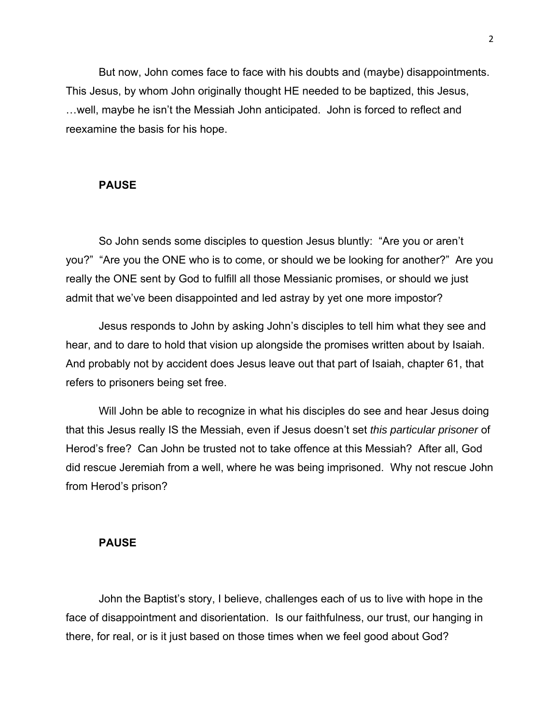But now, John comes face to face with his doubts and (maybe) disappointments. This Jesus, by whom John originally thought HE needed to be baptized, this Jesus, …well, maybe he isn't the Messiah John anticipated. John is forced to reflect and reexamine the basis for his hope.

### **PAUSE**

So John sends some disciples to question Jesus bluntly: "Are you or aren't you?" "Are you the ONE who is to come, or should we be looking for another?" Are you really the ONE sent by God to fulfill all those Messianic promises, or should we just admit that we've been disappointed and led astray by yet one more impostor?

Jesus responds to John by asking John's disciples to tell him what they see and hear, and to dare to hold that vision up alongside the promises written about by Isaiah. And probably not by accident does Jesus leave out that part of Isaiah, chapter 61, that refers to prisoners being set free.

Will John be able to recognize in what his disciples do see and hear Jesus doing that this Jesus really IS the Messiah, even if Jesus doesn't set *this particular prisoner* of Herod's free? Can John be trusted not to take offence at this Messiah? After all, God did rescue Jeremiah from a well, where he was being imprisoned. Why not rescue John from Herod's prison?

### **PAUSE**

John the Baptist's story, I believe, challenges each of us to live with hope in the face of disappointment and disorientation. Is our faithfulness, our trust, our hanging in there, for real, or is it just based on those times when we feel good about God?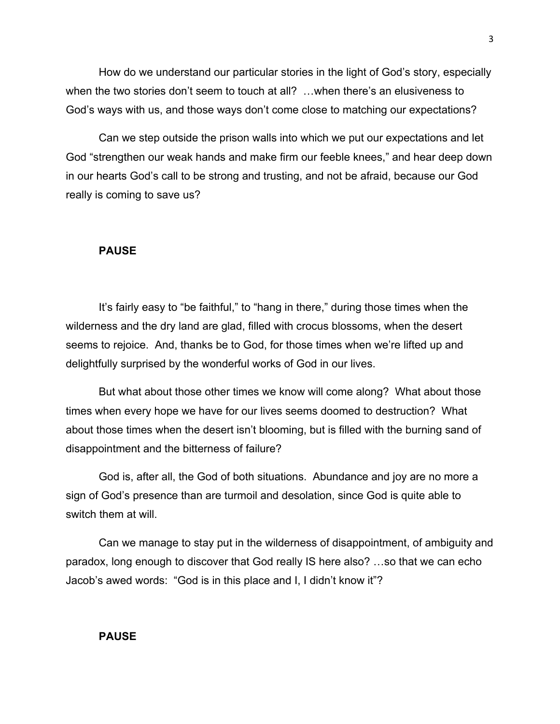How do we understand our particular stories in the light of God's story, especially when the two stories don't seem to touch at all? …when there's an elusiveness to God's ways with us, and those ways don't come close to matching our expectations?

Can we step outside the prison walls into which we put our expectations and let God "strengthen our weak hands and make firm our feeble knees," and hear deep down in our hearts God's call to be strong and trusting, and not be afraid, because our God really is coming to save us?

## **PAUSE**

It's fairly easy to "be faithful," to "hang in there," during those times when the wilderness and the dry land are glad, filled with crocus blossoms, when the desert seems to rejoice. And, thanks be to God, for those times when we're lifted up and delightfully surprised by the wonderful works of God in our lives.

But what about those other times we know will come along? What about those times when every hope we have for our lives seems doomed to destruction? What about those times when the desert isn't blooming, but is filled with the burning sand of disappointment and the bitterness of failure?

God is, after all, the God of both situations. Abundance and joy are no more a sign of God's presence than are turmoil and desolation, since God is quite able to switch them at will.

Can we manage to stay put in the wilderness of disappointment, of ambiguity and paradox, long enough to discover that God really IS here also? …so that we can echo Jacob's awed words: "God is in this place and I, I didn't know it"?

#### **PAUSE**